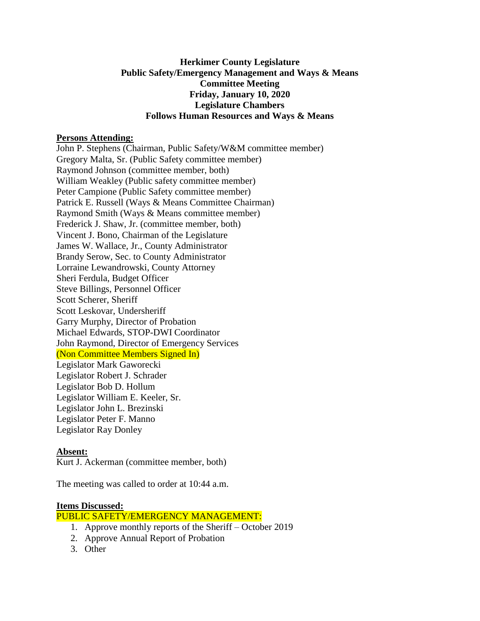## **Herkimer County Legislature Public Safety/Emergency Management and Ways & Means Committee Meeting Friday, January 10, 2020 Legislature Chambers Follows Human Resources and Ways & Means**

#### **Persons Attending:**

John P. Stephens (Chairman, Public Safety/W&M committee member) Gregory Malta, Sr. (Public Safety committee member) Raymond Johnson (committee member, both) William Weakley (Public safety committee member) Peter Campione (Public Safety committee member) Patrick E. Russell (Ways & Means Committee Chairman) Raymond Smith (Ways & Means committee member) Frederick J. Shaw, Jr. (committee member, both) Vincent J. Bono, Chairman of the Legislature James W. Wallace, Jr., County Administrator Brandy Serow, Sec. to County Administrator Lorraine Lewandrowski, County Attorney Sheri Ferdula, Budget Officer Steve Billings, Personnel Officer Scott Scherer, Sheriff Scott Leskovar, Undersheriff Garry Murphy, Director of Probation Michael Edwards, STOP-DWI Coordinator John Raymond, Director of Emergency Services (Non Committee Members Signed In) Legislator Mark Gaworecki Legislator Robert J. Schrader Legislator Bob D. Hollum Legislator William E. Keeler, Sr. Legislator John L. Brezinski Legislator Peter F. Manno Legislator Ray Donley

### **Absent:**

Kurt J. Ackerman (committee member, both)

The meeting was called to order at 10:44 a.m.

### **Items Discussed:**

PUBLIC SAFETY/EMERGENCY MANAGEMENT:

- 1. Approve monthly reports of the Sheriff October 2019
- 2. Approve Annual Report of Probation
- 3. Other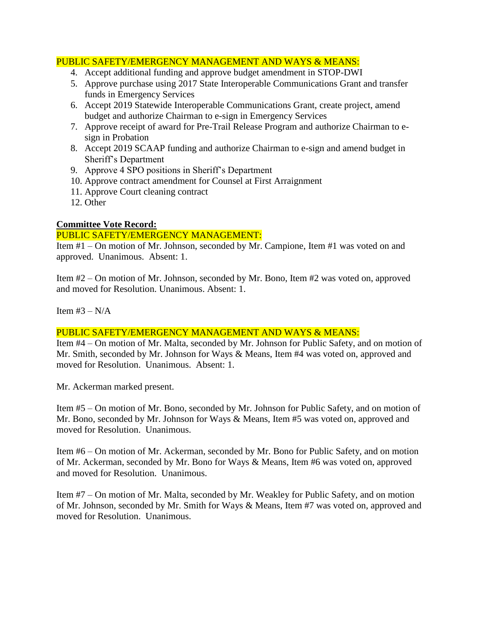# PUBLIC SAFETY/EMERGENCY MANAGEMENT AND WAYS & MEANS:

- 4. Accept additional funding and approve budget amendment in STOP-DWI
- 5. Approve purchase using 2017 State Interoperable Communications Grant and transfer funds in Emergency Services
- 6. Accept 2019 Statewide Interoperable Communications Grant, create project, amend budget and authorize Chairman to e-sign in Emergency Services
- 7. Approve receipt of award for Pre-Trail Release Program and authorize Chairman to esign in Probation
- 8. Accept 2019 SCAAP funding and authorize Chairman to e-sign and amend budget in Sheriff's Department
- 9. Approve 4 SPO positions in Sheriff's Department
- 10. Approve contract amendment for Counsel at First Arraignment
- 11. Approve Court cleaning contract
- 12. Other

## **Committee Vote Record:**

### PUBLIC SAFETY/EMERGENCY MANAGEMENT:

Item #1 – On motion of Mr. Johnson, seconded by Mr. Campione, Item #1 was voted on and approved. Unanimous. Absent: 1.

Item #2 – On motion of Mr. Johnson, seconded by Mr. Bono, Item #2 was voted on, approved and moved for Resolution. Unanimous. Absent: 1.

Item  $#3 - N/A$ 

## PUBLIC SAFETY/EMERGENCY MANAGEMENT AND WAYS & MEANS:

Item #4 – On motion of Mr. Malta, seconded by Mr. Johnson for Public Safety, and on motion of Mr. Smith, seconded by Mr. Johnson for Ways & Means, Item #4 was voted on, approved and moved for Resolution. Unanimous. Absent: 1.

Mr. Ackerman marked present.

Item #5 – On motion of Mr. Bono, seconded by Mr. Johnson for Public Safety, and on motion of Mr. Bono, seconded by Mr. Johnson for Ways & Means, Item #5 was voted on, approved and moved for Resolution. Unanimous.

Item #6 – On motion of Mr. Ackerman, seconded by Mr. Bono for Public Safety, and on motion of Mr. Ackerman, seconded by Mr. Bono for Ways & Means, Item #6 was voted on, approved and moved for Resolution. Unanimous.

Item #7 – On motion of Mr. Malta, seconded by Mr. Weakley for Public Safety, and on motion of Mr. Johnson, seconded by Mr. Smith for Ways & Means, Item #7 was voted on, approved and moved for Resolution. Unanimous.